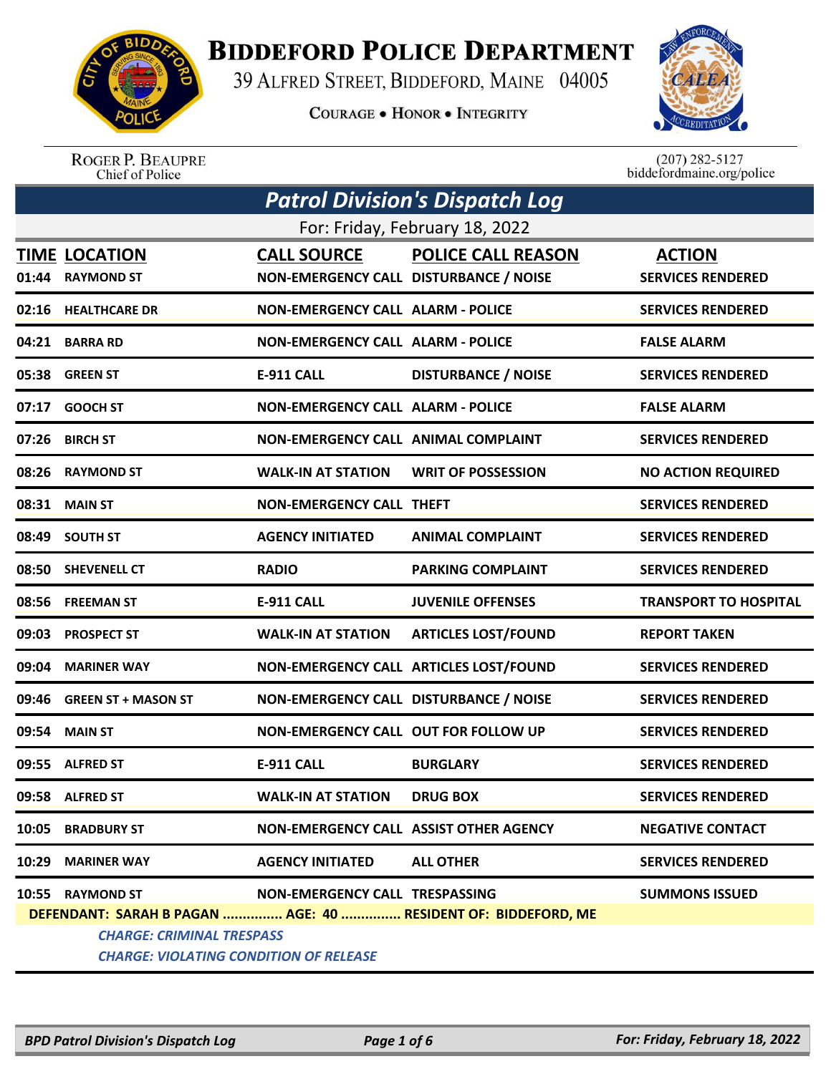

## **BIDDEFORD POLICE DEPARTMENT**

39 ALFRED STREET, BIDDEFORD, MAINE 04005

**COURAGE . HONOR . INTEGRITY** 



ROGER P. BEAUPRE<br>Chief of Police

 $(207)$  282-5127<br>biddefordmaine.org/police

| <b>Patrol Division's Dispatch Log</b>                         |                                               |                                          |                                |                              |  |  |
|---------------------------------------------------------------|-----------------------------------------------|------------------------------------------|--------------------------------|------------------------------|--|--|
|                                                               |                                               |                                          | For: Friday, February 18, 2022 |                              |  |  |
|                                                               | <b>TIME LOCATION</b>                          | <b>CALL SOURCE</b>                       | <b>POLICE CALL REASON</b>      | <b>ACTION</b>                |  |  |
| 01:44                                                         | <b>RAYMOND ST</b>                             | NON-EMERGENCY CALL DISTURBANCE / NOISE   |                                | <b>SERVICES RENDERED</b>     |  |  |
|                                                               | 02:16 HEALTHCARE DR                           | <b>NON-EMERGENCY CALL ALARM - POLICE</b> |                                | <b>SERVICES RENDERED</b>     |  |  |
|                                                               | 04:21 BARRA RD                                | <b>NON-EMERGENCY CALL ALARM - POLICE</b> |                                | <b>FALSE ALARM</b>           |  |  |
|                                                               | 05:38 GREEN ST                                | <b>E-911 CALL</b>                        | <b>DISTURBANCE / NOISE</b>     | <b>SERVICES RENDERED</b>     |  |  |
|                                                               | 07:17 GOOCH ST                                | <b>NON-EMERGENCY CALL ALARM - POLICE</b> |                                | <b>FALSE ALARM</b>           |  |  |
|                                                               | 07:26 BIRCH ST                                | NON-EMERGENCY CALL ANIMAL COMPLAINT      |                                | <b>SERVICES RENDERED</b>     |  |  |
|                                                               | 08:26 RAYMOND ST                              | <b>WALK-IN AT STATION</b>                | <b>WRIT OF POSSESSION</b>      | <b>NO ACTION REQUIRED</b>    |  |  |
|                                                               | 08:31 MAIN ST                                 | <b>NON-EMERGENCY CALL THEFT</b>          |                                | <b>SERVICES RENDERED</b>     |  |  |
|                                                               | 08:49 SOUTH ST                                | <b>AGENCY INITIATED</b>                  | <b>ANIMAL COMPLAINT</b>        | <b>SERVICES RENDERED</b>     |  |  |
|                                                               | 08:50 SHEVENELL CT                            | <b>RADIO</b>                             | <b>PARKING COMPLAINT</b>       | <b>SERVICES RENDERED</b>     |  |  |
|                                                               | 08:56 FREEMAN ST                              | <b>E-911 CALL</b>                        | <b>JUVENILE OFFENSES</b>       | <b>TRANSPORT TO HOSPITAL</b> |  |  |
|                                                               | 09:03 PROSPECT ST                             | <b>WALK-IN AT STATION</b>                | <b>ARTICLES LOST/FOUND</b>     | <b>REPORT TAKEN</b>          |  |  |
| 09:04                                                         | <b>MARINER WAY</b>                            | NON-EMERGENCY CALL ARTICLES LOST/FOUND   |                                | <b>SERVICES RENDERED</b>     |  |  |
| 09:46                                                         | <b>GREEN ST + MASON ST</b>                    | NON-EMERGENCY CALL DISTURBANCE / NOISE   |                                | <b>SERVICES RENDERED</b>     |  |  |
| 09:54                                                         | <b>MAIN ST</b>                                | NON-EMERGENCY CALL OUT FOR FOLLOW UP     |                                | <b>SERVICES RENDERED</b>     |  |  |
| 09:55                                                         | <b>ALFRED ST</b>                              | <b>E-911 CALL</b>                        | <b>BURGLARY</b>                | <b>SERVICES RENDERED</b>     |  |  |
|                                                               | 09:58 ALFRED ST                               | <b>WALK-IN AT STATION</b>                | <b>DRUG BOX</b>                | <b>SERVICES RENDERED</b>     |  |  |
|                                                               | 10:05 BRADBURY ST                             | NON-EMERGENCY CALL ASSIST OTHER AGENCY   |                                | <b>NEGATIVE CONTACT</b>      |  |  |
|                                                               | 10:29 MARINER WAY                             | <b>AGENCY INITIATED</b>                  | <b>ALL OTHER</b>               | <b>SERVICES RENDERED</b>     |  |  |
|                                                               | 10:55 RAYMOND ST                              | NON-EMERGENCY CALL TRESPASSING           |                                | <b>SUMMONS ISSUED</b>        |  |  |
| DEFENDANT: SARAH B PAGAN  AGE: 40  RESIDENT OF: BIDDEFORD, ME |                                               |                                          |                                |                              |  |  |
|                                                               | <b>CHARGE: CRIMINAL TRESPASS</b>              |                                          |                                |                              |  |  |
|                                                               | <b>CHARGE: VIOLATING CONDITION OF RELEASE</b> |                                          |                                |                              |  |  |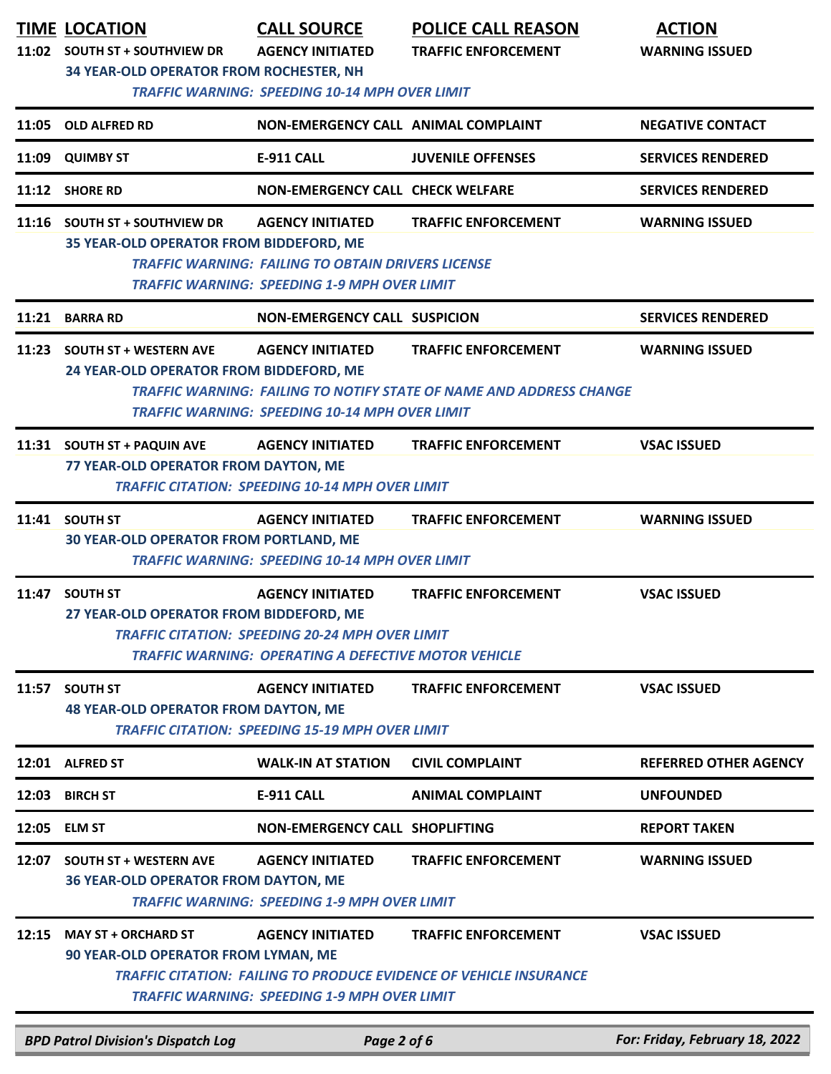|       | <b>TIME LOCATION</b><br>11:02 SOUTH ST + SOUTHVIEW DR<br>34 YEAR-OLD OPERATOR FROM ROCHESTER, NH                                                                                                             | <b>CALL SOURCE</b><br><b>AGENCY INITIATED</b><br><b>TRAFFIC WARNING: SPEEDING 10-14 MPH OVER LIMIT</b>                                           | <b>POLICE CALL REASON</b><br><b>TRAFFIC ENFORCEMENT</b>                                                  | <b>ACTION</b><br><b>WARNING ISSUED</b> |  |
|-------|--------------------------------------------------------------------------------------------------------------------------------------------------------------------------------------------------------------|--------------------------------------------------------------------------------------------------------------------------------------------------|----------------------------------------------------------------------------------------------------------|----------------------------------------|--|
|       | 11:05 OLD ALFRED RD                                                                                                                                                                                          | NON-EMERGENCY CALL ANIMAL COMPLAINT                                                                                                              |                                                                                                          | <b>NEGATIVE CONTACT</b>                |  |
| 11:09 | <b>QUIMBY ST</b>                                                                                                                                                                                             | <b>E-911 CALL</b>                                                                                                                                | <b>JUVENILE OFFENSES</b>                                                                                 | <b>SERVICES RENDERED</b>               |  |
|       | 11:12 SHORE RD                                                                                                                                                                                               | <b>NON-EMERGENCY CALL CHECK WELFARE</b>                                                                                                          |                                                                                                          | <b>SERVICES RENDERED</b>               |  |
|       | 11:16 SOUTH ST + SOUTHVIEW DR<br>35 YEAR-OLD OPERATOR FROM BIDDEFORD, ME                                                                                                                                     | <b>AGENCY INITIATED</b><br><b>TRAFFIC WARNING: FAILING TO OBTAIN DRIVERS LICENSE</b><br><b>TRAFFIC WARNING: SPEEDING 1-9 MPH OVER LIMIT</b>      | <b>TRAFFIC ENFORCEMENT</b>                                                                               | <b>WARNING ISSUED</b>                  |  |
|       | 11:21 BARRA RD                                                                                                                                                                                               | <b>NON-EMERGENCY CALL SUSPICION</b>                                                                                                              |                                                                                                          | <b>SERVICES RENDERED</b>               |  |
|       | 11:23 SOUTH ST + WESTERN AVE<br>24 YEAR-OLD OPERATOR FROM BIDDEFORD, ME                                                                                                                                      | <b>AGENCY INITIATED</b><br><b>TRAFFIC WARNING: SPEEDING 10-14 MPH OVER LIMIT</b>                                                                 | <b>TRAFFIC ENFORCEMENT</b><br><b>TRAFFIC WARNING: FAILING TO NOTIFY STATE OF NAME AND ADDRESS CHANGE</b> | <b>WARNING ISSUED</b>                  |  |
|       | 11:31 SOUTH ST + PAQUIN AVE<br><b>AGENCY INITIATED</b><br><b>TRAFFIC ENFORCEMENT</b><br><b>VSAC ISSUED</b><br>77 YEAR-OLD OPERATOR FROM DAYTON, ME<br><b>TRAFFIC CITATION: SPEEDING 10-14 MPH OVER LIMIT</b> |                                                                                                                                                  |                                                                                                          |                                        |  |
|       | 11:41 SOUTH ST<br><b>30 YEAR-OLD OPERATOR FROM PORTLAND, ME</b>                                                                                                                                              | <b>AGENCY INITIATED</b><br><b>TRAFFIC WARNING: SPEEDING 10-14 MPH OVER LIMIT</b>                                                                 | <b>TRAFFIC ENFORCEMENT</b>                                                                               | <b>WARNING ISSUED</b>                  |  |
|       | 11:47 SOUTH ST<br>27 YEAR-OLD OPERATOR FROM BIDDEFORD, ME                                                                                                                                                    | <b>AGENCY INITIATED</b><br><b>TRAFFIC CITATION: SPEEDING 20-24 MPH OVER LIMIT</b><br><b>TRAFFIC WARNING: OPERATING A DEFECTIVE MOTOR VEHICLE</b> | <b>TRAFFIC ENFORCEMENT</b>                                                                               | <b>VSAC ISSUED</b>                     |  |
| 11:57 | <b>SOUTH ST</b><br><b>48 YEAR-OLD OPERATOR FROM DAYTON, ME</b>                                                                                                                                               | <b>AGENCY INITIATED</b><br><b>TRAFFIC CITATION: SPEEDING 15-19 MPH OVER LIMIT</b>                                                                | <b>TRAFFIC ENFORCEMENT</b>                                                                               | <b>VSAC ISSUED</b>                     |  |
|       | 12:01 ALFRED ST                                                                                                                                                                                              | <b>WALK-IN AT STATION</b>                                                                                                                        | <b>CIVIL COMPLAINT</b>                                                                                   | <b>REFERRED OTHER AGENCY</b>           |  |
|       | 12:03 BIRCH ST                                                                                                                                                                                               | <b>E-911 CALL</b>                                                                                                                                | <b>ANIMAL COMPLAINT</b>                                                                                  | <b>UNFOUNDED</b>                       |  |
|       | 12:05 ELM ST                                                                                                                                                                                                 | <b>NON-EMERGENCY CALL SHOPLIFTING</b>                                                                                                            |                                                                                                          | <b>REPORT TAKEN</b>                    |  |
| 12:07 | <b>SOUTH ST + WESTERN AVE</b><br><b>36 YEAR-OLD OPERATOR FROM DAYTON, ME</b>                                                                                                                                 | <b>AGENCY INITIATED</b><br><b>TRAFFIC WARNING: SPEEDING 1-9 MPH OVER LIMIT</b>                                                                   | <b>TRAFFIC ENFORCEMENT</b>                                                                               | <b>WARNING ISSUED</b>                  |  |
|       | 12:15 MAY ST + ORCHARD ST<br>90 YEAR-OLD OPERATOR FROM LYMAN, ME                                                                                                                                             | <b>AGENCY INITIATED</b><br><b>TRAFFIC WARNING: SPEEDING 1-9 MPH OVER LIMIT</b>                                                                   | <b>TRAFFIC ENFORCEMENT</b><br><b>TRAFFIC CITATION: FAILING TO PRODUCE EVIDENCE OF VEHICLE INSURANCE</b>  | <b>VSAC ISSUED</b>                     |  |
|       | <b>BPD Patrol Division's Dispatch Log</b>                                                                                                                                                                    | Page 2 of 6                                                                                                                                      |                                                                                                          | For: Friday, February 18, 2022         |  |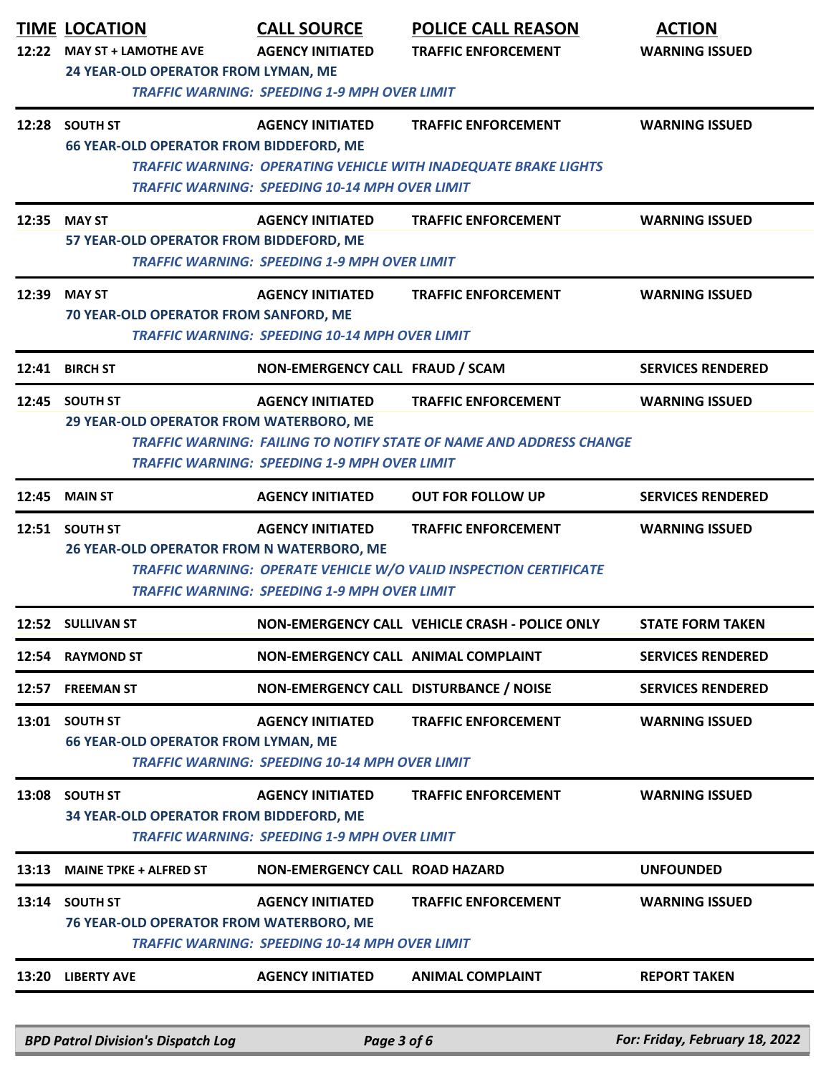| 12:22 | <b>TIME LOCATION</b><br><b>MAY ST + LAMOTHE AVE</b><br>24 YEAR-OLD OPERATOR FROM LYMAN, ME | <b>CALL SOURCE</b><br><b>AGENCY INITIATED</b><br><b>TRAFFIC WARNING: SPEEDING 1-9 MPH OVER LIMIT</b> | <b>POLICE CALL REASON</b><br><b>TRAFFIC ENFORCEMENT</b>                                           | <b>ACTION</b><br><b>WARNING ISSUED</b> |
|-------|--------------------------------------------------------------------------------------------|------------------------------------------------------------------------------------------------------|---------------------------------------------------------------------------------------------------|----------------------------------------|
|       | 12:28 SOUTH ST<br>66 YEAR-OLD OPERATOR FROM BIDDEFORD, ME                                  | <b>AGENCY INITIATED</b><br><b>TRAFFIC WARNING: SPEEDING 10-14 MPH OVER LIMIT</b>                     | <b>TRAFFIC ENFORCEMENT</b><br>TRAFFIC WARNING: OPERATING VEHICLE WITH INADEQUATE BRAKE LIGHTS     | <b>WARNING ISSUED</b>                  |
|       | 12:35 MAY ST<br>57 YEAR-OLD OPERATOR FROM BIDDEFORD, ME                                    | <b>AGENCY INITIATED</b><br><b>TRAFFIC WARNING: SPEEDING 1-9 MPH OVER LIMIT</b>                       | <b>TRAFFIC ENFORCEMENT</b>                                                                        | <b>WARNING ISSUED</b>                  |
| 12:39 | <b>MAY ST</b><br>70 YEAR-OLD OPERATOR FROM SANFORD, ME                                     | <b>AGENCY INITIATED</b><br><b>TRAFFIC WARNING: SPEEDING 10-14 MPH OVER LIMIT</b>                     | <b>TRAFFIC ENFORCEMENT</b>                                                                        | <b>WARNING ISSUED</b>                  |
|       | 12:41 BIRCH ST                                                                             | NON-EMERGENCY CALL FRAUD / SCAM                                                                      |                                                                                                   | <b>SERVICES RENDERED</b>               |
|       | 12:45 SOUTH ST<br>29 YEAR-OLD OPERATOR FROM WATERBORO, ME                                  | <b>AGENCY INITIATED</b><br><b>TRAFFIC WARNING: SPEEDING 1-9 MPH OVER LIMIT</b>                       | <b>TRAFFIC ENFORCEMENT</b><br>TRAFFIC WARNING: FAILING TO NOTIFY STATE OF NAME AND ADDRESS CHANGE | <b>WARNING ISSUED</b>                  |
|       | <b>12:45 MAIN ST</b>                                                                       | <b>AGENCY INITIATED</b>                                                                              | <b>OUT FOR FOLLOW UP</b>                                                                          | <b>SERVICES RENDERED</b>               |
|       | 12:51 SOUTH ST<br><b>26 YEAR-OLD OPERATOR FROM N WATERBORO, ME</b>                         | <b>AGENCY INITIATED</b><br><b>TRAFFIC WARNING: SPEEDING 1-9 MPH OVER LIMIT</b>                       | <b>TRAFFIC ENFORCEMENT</b><br>TRAFFIC WARNING: OPERATE VEHICLE W/O VALID INSPECTION CERTIFICATE   | <b>WARNING ISSUED</b>                  |
|       | 12:52 SULLIVAN ST                                                                          |                                                                                                      | NON-EMERGENCY CALL VEHICLE CRASH - POLICE ONLY                                                    | <b>STATE FORM TAKEN</b>                |
|       | 12:54 RAYMOND ST                                                                           | NON-EMERGENCY CALL ANIMAL COMPLAINT                                                                  |                                                                                                   | <b>SERVICES RENDERED</b>               |
|       | 12:57 FREEMAN ST                                                                           | NON-EMERGENCY CALL DISTURBANCE / NOISE                                                               |                                                                                                   | <b>SERVICES RENDERED</b>               |
|       | 13:01 SOUTH ST<br><b>66 YEAR-OLD OPERATOR FROM LYMAN, ME</b>                               | <b>AGENCY INITIATED</b><br><b>TRAFFIC WARNING: SPEEDING 10-14 MPH OVER LIMIT</b>                     | <b>TRAFFIC ENFORCEMENT</b>                                                                        | <b>WARNING ISSUED</b>                  |
|       | 13:08 SOUTH ST<br>34 YEAR-OLD OPERATOR FROM BIDDEFORD, ME                                  | <b>AGENCY INITIATED</b><br><b>TRAFFIC WARNING: SPEEDING 1-9 MPH OVER LIMIT</b>                       | <b>TRAFFIC ENFORCEMENT</b>                                                                        | <b>WARNING ISSUED</b>                  |
| 13:13 | <b>MAINE TPKE + ALFRED ST</b>                                                              | NON-EMERGENCY CALL ROAD HAZARD                                                                       |                                                                                                   | <b>UNFOUNDED</b>                       |
|       | 13:14 SOUTH ST<br><b>76 YEAR-OLD OPERATOR FROM WATERBORO, ME</b>                           | <b>AGENCY INITIATED</b><br><b>TRAFFIC WARNING: SPEEDING 10-14 MPH OVER LIMIT</b>                     | <b>TRAFFIC ENFORCEMENT</b>                                                                        | <b>WARNING ISSUED</b>                  |
|       | 13:20 LIBERTY AVE                                                                          | <b>AGENCY INITIATED</b>                                                                              | <b>ANIMAL COMPLAINT</b>                                                                           | <b>REPORT TAKEN</b>                    |

*BPD Patrol Division's Dispatch Log Page 3 of 6 For: Friday, February 18, 2022*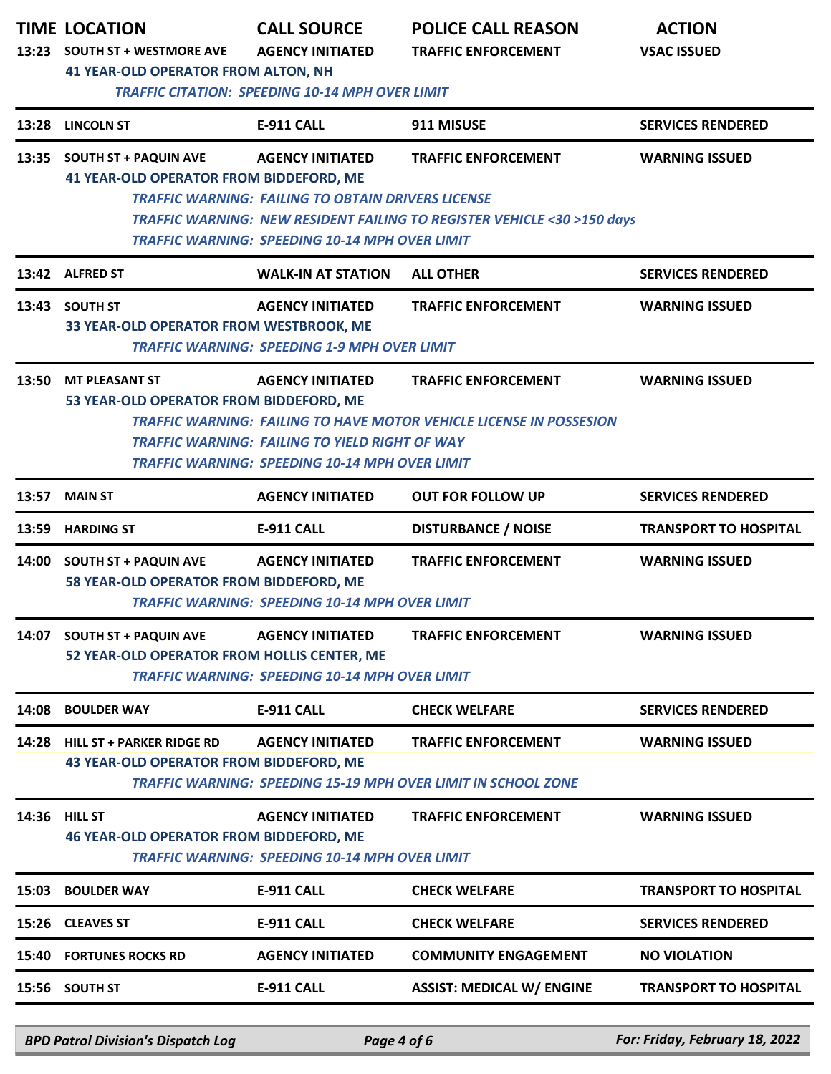| 13:23 | <b>TIME LOCATION</b><br><b>SOUTH ST + WESTMORE AVE</b><br><b>41 YEAR-OLD OPERATOR FROM ALTON, NH</b>                                                                                                                                                                                                                                              | <b>CALL SOURCE</b><br><b>AGENCY INITIATED</b><br><b>TRAFFIC CITATION: SPEEDING 10-14 MPH OVER LIMIT</b>                                       | <b>POLICE CALL REASON</b><br><b>TRAFFIC ENFORCEMENT</b>                                               | <b>ACTION</b><br><b>VSAC ISSUED</b> |  |
|-------|---------------------------------------------------------------------------------------------------------------------------------------------------------------------------------------------------------------------------------------------------------------------------------------------------------------------------------------------------|-----------------------------------------------------------------------------------------------------------------------------------------------|-------------------------------------------------------------------------------------------------------|-------------------------------------|--|
| 13:28 | <b>LINCOLN ST</b>                                                                                                                                                                                                                                                                                                                                 | <b>E-911 CALL</b>                                                                                                                             | 911 MISUSE                                                                                            | <b>SERVICES RENDERED</b>            |  |
|       | 13:35 SOUTH ST + PAQUIN AVE<br><b>41 YEAR-OLD OPERATOR FROM BIDDEFORD, ME</b>                                                                                                                                                                                                                                                                     | <b>AGENCY INITIATED</b><br><b>TRAFFIC WARNING: FAILING TO OBTAIN DRIVERS LICENSE</b><br><b>TRAFFIC WARNING: SPEEDING 10-14 MPH OVER LIMIT</b> | <b>TRAFFIC ENFORCEMENT</b><br>TRAFFIC WARNING: NEW RESIDENT FAILING TO REGISTER VEHICLE <30 >150 days | <b>WARNING ISSUED</b>               |  |
|       | 13:42 ALFRED ST                                                                                                                                                                                                                                                                                                                                   | <b>WALK-IN AT STATION</b>                                                                                                                     | <b>ALL OTHER</b>                                                                                      | <b>SERVICES RENDERED</b>            |  |
| 13:43 | <b>SOUTH ST</b><br>33 YEAR-OLD OPERATOR FROM WESTBROOK, ME                                                                                                                                                                                                                                                                                        | <b>AGENCY INITIATED</b><br><b>TRAFFIC WARNING: SPEEDING 1-9 MPH OVER LIMIT</b>                                                                | <b>TRAFFIC ENFORCEMENT</b>                                                                            | <b>WARNING ISSUED</b>               |  |
|       | 13:50 MT PLEASANT ST<br><b>AGENCY INITIATED</b><br><b>TRAFFIC ENFORCEMENT</b><br><b>WARNING ISSUED</b><br>53 YEAR-OLD OPERATOR FROM BIDDEFORD, ME<br><b>TRAFFIC WARNING: FAILING TO HAVE MOTOR VEHICLE LICENSE IN POSSESION</b><br><b>TRAFFIC WARNING: FAILING TO YIELD RIGHT OF WAY</b><br><b>TRAFFIC WARNING: SPEEDING 10-14 MPH OVER LIMIT</b> |                                                                                                                                               |                                                                                                       |                                     |  |
| 13:57 | <b>MAIN ST</b>                                                                                                                                                                                                                                                                                                                                    | <b>AGENCY INITIATED</b>                                                                                                                       | <b>OUT FOR FOLLOW UP</b>                                                                              | <b>SERVICES RENDERED</b>            |  |
| 13:59 | <b>HARDING ST</b>                                                                                                                                                                                                                                                                                                                                 | <b>E-911 CALL</b>                                                                                                                             | <b>DISTURBANCE / NOISE</b>                                                                            | <b>TRANSPORT TO HOSPITAL</b>        |  |
|       | 14:00 SOUTH ST + PAQUIN AVE<br>58 YEAR-OLD OPERATOR FROM BIDDEFORD, ME                                                                                                                                                                                                                                                                            | <b>AGENCY INITIATED</b><br><b>TRAFFIC WARNING: SPEEDING 10-14 MPH OVER LIMIT</b>                                                              | <b>TRAFFIC ENFORCEMENT</b>                                                                            | <b>WARNING ISSUED</b>               |  |
| 14:07 | <b>SOUTH ST + PAQUIN AVE</b><br>52 YEAR-OLD OPERATOR FROM HOLLIS CENTER, ME                                                                                                                                                                                                                                                                       | <b>AGENCY INITIATED</b><br><b>TRAFFIC WARNING: SPEEDING 10-14 MPH OVER LIMIT</b>                                                              | <b>TRAFFIC ENFORCEMENT</b>                                                                            | <b>WARNING ISSUED</b>               |  |
| 14:08 | <b>BOULDER WAY</b>                                                                                                                                                                                                                                                                                                                                | <b>E-911 CALL</b>                                                                                                                             | <b>CHECK WELFARE</b>                                                                                  | <b>SERVICES RENDERED</b>            |  |
| 14:28 | <b>HILL ST + PARKER RIDGE RD</b><br><b>43 YEAR-OLD OPERATOR FROM BIDDEFORD, ME</b>                                                                                                                                                                                                                                                                | <b>AGENCY INITIATED</b>                                                                                                                       | <b>TRAFFIC ENFORCEMENT</b><br><b>TRAFFIC WARNING: SPEEDING 15-19 MPH OVER LIMIT IN SCHOOL ZONE</b>    | <b>WARNING ISSUED</b>               |  |
| 14:36 | <b>HILL ST</b><br><b>46 YEAR-OLD OPERATOR FROM BIDDEFORD, ME</b>                                                                                                                                                                                                                                                                                  | <b>AGENCY INITIATED</b><br><b>TRAFFIC WARNING: SPEEDING 10-14 MPH OVER LIMIT</b>                                                              | <b>TRAFFIC ENFORCEMENT</b>                                                                            | <b>WARNING ISSUED</b>               |  |
| 15:03 | <b>BOULDER WAY</b>                                                                                                                                                                                                                                                                                                                                | <b>E-911 CALL</b>                                                                                                                             | <b>CHECK WELFARE</b>                                                                                  | <b>TRANSPORT TO HOSPITAL</b>        |  |
| 15:26 | <b>CLEAVES ST</b>                                                                                                                                                                                                                                                                                                                                 | <b>E-911 CALL</b>                                                                                                                             | <b>CHECK WELFARE</b>                                                                                  | <b>SERVICES RENDERED</b>            |  |
| 15:40 | <b>FORTUNES ROCKS RD</b>                                                                                                                                                                                                                                                                                                                          | <b>AGENCY INITIATED</b>                                                                                                                       | <b>COMMUNITY ENGAGEMENT</b>                                                                           | <b>NO VIOLATION</b>                 |  |
|       | 15:56 SOUTH ST                                                                                                                                                                                                                                                                                                                                    | <b>E-911 CALL</b>                                                                                                                             | <b>ASSIST: MEDICAL W/ ENGINE</b>                                                                      | <b>TRANSPORT TO HOSPITAL</b>        |  |

*BPD Patrol Division's Dispatch Log Page 4 of 6 For: Friday, February 18, 2022*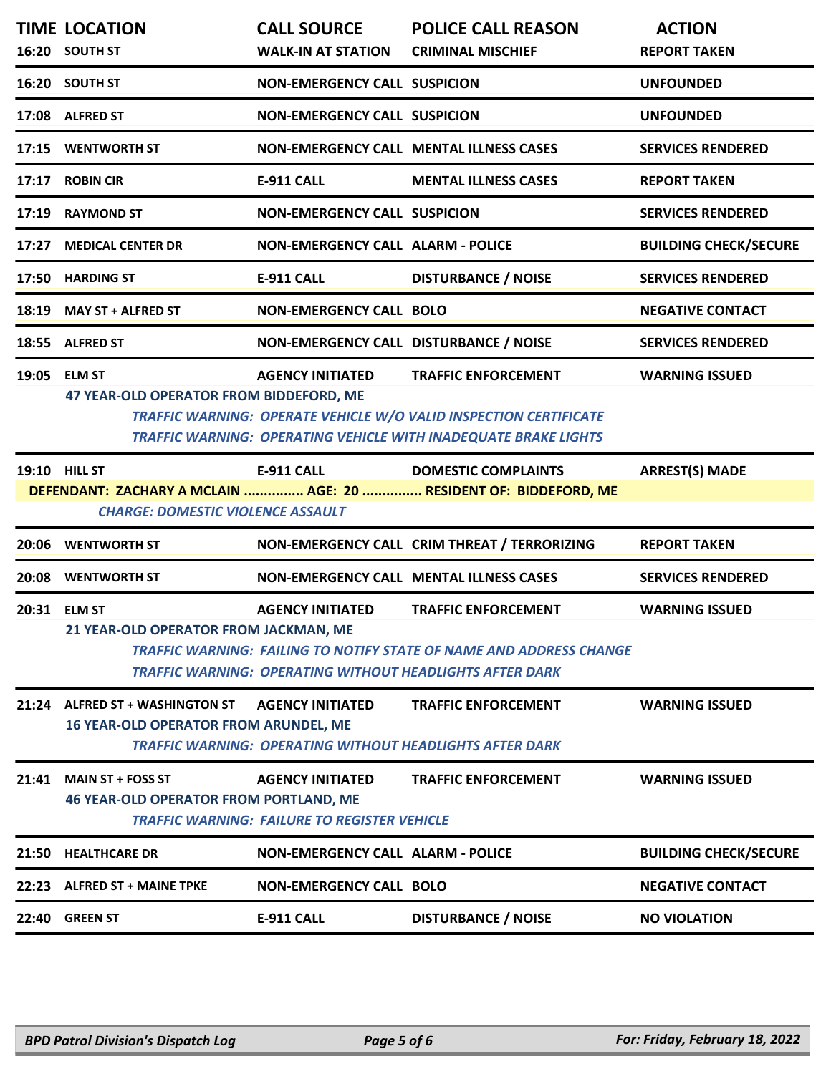|       | <b>TIME LOCATION</b><br>16:20 SOUTH ST                                          | <b>CALL SOURCE</b><br><b>WALK-IN AT STATION</b>                                | <b>POLICE CALL REASON</b><br><b>CRIMINAL MISCHIEF</b>                                                                                                                            | <b>ACTION</b><br><b>REPORT TAKEN</b> |
|-------|---------------------------------------------------------------------------------|--------------------------------------------------------------------------------|----------------------------------------------------------------------------------------------------------------------------------------------------------------------------------|--------------------------------------|
|       | 16:20 SOUTH ST                                                                  | <b>NON-EMERGENCY CALL SUSPICION</b>                                            |                                                                                                                                                                                  | <b>UNFOUNDED</b>                     |
|       | 17:08 ALFRED ST                                                                 | <b>NON-EMERGENCY CALL SUSPICION</b>                                            |                                                                                                                                                                                  | <b>UNFOUNDED</b>                     |
|       | 17:15 WENTWORTH ST                                                              |                                                                                | <b>NON-EMERGENCY CALL MENTAL ILLNESS CASES</b>                                                                                                                                   | <b>SERVICES RENDERED</b>             |
|       | 17:17 ROBIN CIR                                                                 | <b>E-911 CALL</b>                                                              | <b>MENTAL ILLNESS CASES</b>                                                                                                                                                      | <b>REPORT TAKEN</b>                  |
| 17:19 | <b>RAYMOND ST</b>                                                               | <b>NON-EMERGENCY CALL SUSPICION</b>                                            |                                                                                                                                                                                  | <b>SERVICES RENDERED</b>             |
| 17:27 | <b>MEDICAL CENTER DR</b>                                                        | <b>NON-EMERGENCY CALL ALARM - POLICE</b>                                       |                                                                                                                                                                                  | <b>BUILDING CHECK/SECURE</b>         |
|       | 17:50 HARDING ST                                                                | <b>E-911 CALL</b>                                                              | <b>DISTURBANCE / NOISE</b>                                                                                                                                                       | <b>SERVICES RENDERED</b>             |
| 18:19 | <b>MAY ST + ALFRED ST</b>                                                       | <b>NON-EMERGENCY CALL BOLO</b>                                                 |                                                                                                                                                                                  | <b>NEGATIVE CONTACT</b>              |
|       | 18:55 ALFRED ST                                                                 | NON-EMERGENCY CALL DISTURBANCE / NOISE                                         |                                                                                                                                                                                  | <b>SERVICES RENDERED</b>             |
|       | 19:05 ELM ST<br>47 YEAR-OLD OPERATOR FROM BIDDEFORD, ME                         | <b>AGENCY INITIATED</b>                                                        | <b>TRAFFIC ENFORCEMENT</b><br><b>TRAFFIC WARNING: OPERATE VEHICLE W/O VALID INSPECTION CERTIFICATE</b><br><b>TRAFFIC WARNING: OPERATING VEHICLE WITH INADEQUATE BRAKE LIGHTS</b> | <b>WARNING ISSUED</b>                |
|       | <b>19:10 HILL ST</b><br><b>CHARGE: DOMESTIC VIOLENCE ASSAULT</b>                | E-911 CALL                                                                     | <b>DOMESTIC COMPLAINTS</b><br>DEFENDANT: ZACHARY A MCLAIN  AGE: 20  RESIDENT OF: BIDDEFORD, ME                                                                                   | <b>ARREST(S) MADE</b>                |
|       | 20:06 WENTWORTH ST                                                              |                                                                                | NON-EMERGENCY CALL CRIM THREAT / TERRORIZING                                                                                                                                     | <b>REPORT TAKEN</b>                  |
|       | 20:08 WENTWORTH ST                                                              |                                                                                | NON-EMERGENCY CALL MENTAL ILLNESS CASES                                                                                                                                          | <b>SERVICES RENDERED</b>             |
|       | 20:31 ELM ST<br>21 YEAR-OLD OPERATOR FROM JACKMAN, ME                           | <b>AGENCY INITIATED</b>                                                        | <b>TRAFFIC ENFORCEMENT</b><br><b>TRAFFIC WARNING: FAILING TO NOTIFY STATE OF NAME AND ADDRESS CHANGE</b><br><b>TRAFFIC WARNING: OPERATING WITHOUT HEADLIGHTS AFTER DARK</b>      | <b>WARNING ISSUED</b>                |
|       | 21:24 ALFRED ST + WASHINGTON ST<br><b>16 YEAR-OLD OPERATOR FROM ARUNDEL, ME</b> | <b>AGENCY INITIATED</b>                                                        | <b>TRAFFIC ENFORCEMENT</b><br><b>TRAFFIC WARNING: OPERATING WITHOUT HEADLIGHTS AFTER DARK</b>                                                                                    | <b>WARNING ISSUED</b>                |
|       | 21:41 MAIN ST + FOSS ST<br><b>46 YEAR-OLD OPERATOR FROM PORTLAND, ME</b>        | <b>AGENCY INITIATED</b><br><b>TRAFFIC WARNING: FAILURE TO REGISTER VEHICLE</b> | <b>TRAFFIC ENFORCEMENT</b>                                                                                                                                                       | <b>WARNING ISSUED</b>                |
|       | 21:50 HEALTHCARE DR                                                             | <b>NON-EMERGENCY CALL ALARM - POLICE</b>                                       |                                                                                                                                                                                  | <b>BUILDING CHECK/SECURE</b>         |
|       | 22:23 ALFRED ST + MAINE TPKE                                                    | <b>NON-EMERGENCY CALL BOLO</b>                                                 |                                                                                                                                                                                  | <b>NEGATIVE CONTACT</b>              |
|       | 22:40 GREEN ST                                                                  | E-911 CALL                                                                     | <b>DISTURBANCE / NOISE</b>                                                                                                                                                       | <b>NO VIOLATION</b>                  |